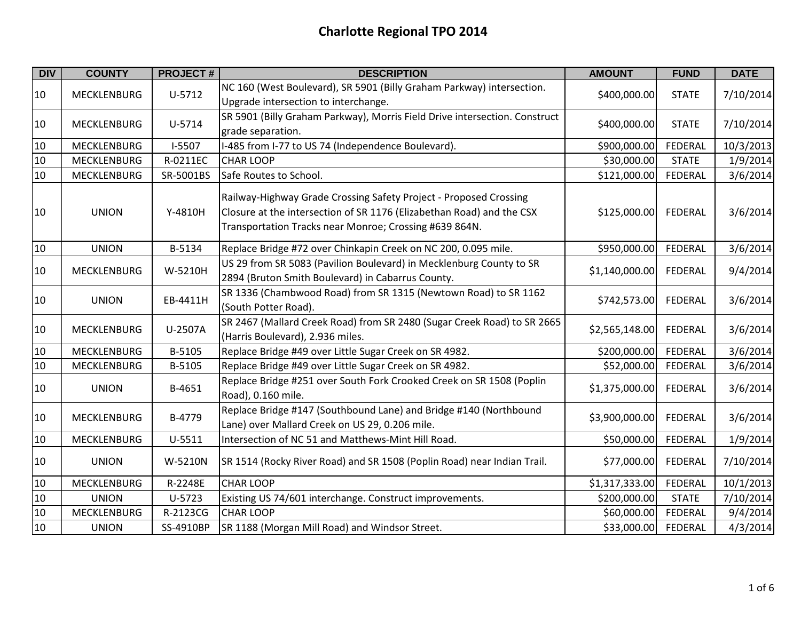| <b>DIV</b> | <b>COUNTY</b>      | <b>PROJECT#</b> | <b>DESCRIPTION</b>                                                                                                                                                                                   | <b>AMOUNT</b>  | <b>FUND</b>    | <b>DATE</b> |
|------------|--------------------|-----------------|------------------------------------------------------------------------------------------------------------------------------------------------------------------------------------------------------|----------------|----------------|-------------|
| 10         | <b>MECKLENBURG</b> | $U-5712$        | NC 160 (West Boulevard), SR 5901 (Billy Graham Parkway) intersection.<br>Upgrade intersection to interchange.                                                                                        | \$400,000.00   | <b>STATE</b>   | 7/10/2014   |
| 10         | <b>MECKLENBURG</b> | U-5714          | SR 5901 (Billy Graham Parkway), Morris Field Drive intersection. Construct<br>grade separation.                                                                                                      | \$400,000.00   | <b>STATE</b>   | 7/10/2014   |
| 10         | <b>MECKLENBURG</b> | $I-5507$        | I-485 from I-77 to US 74 (Independence Boulevard).                                                                                                                                                   | \$900,000.00   | FEDERAL        | 10/3/2013   |
| 10         | <b>MECKLENBURG</b> | R-0211EC        | <b>CHAR LOOP</b>                                                                                                                                                                                     | \$30,000.00    | <b>STATE</b>   | 1/9/2014    |
| 10         | <b>MECKLENBURG</b> | SR-5001BS       | Safe Routes to School.                                                                                                                                                                               | \$121,000.00   | FEDERAL        | 3/6/2014    |
| 10         | <b>UNION</b>       | Y-4810H         | Railway-Highway Grade Crossing Safety Project - Proposed Crossing<br>Closure at the intersection of SR 1176 (Elizabethan Road) and the CSX<br>Transportation Tracks near Monroe; Crossing #639 864N. | \$125,000.00   | <b>FEDERAL</b> | 3/6/2014    |
| 10         | <b>UNION</b>       | B-5134          | Replace Bridge #72 over Chinkapin Creek on NC 200, 0.095 mile.                                                                                                                                       | \$950,000.00   | FEDERAL        | 3/6/2014    |
| 10         | <b>MECKLENBURG</b> | W-5210H         | US 29 from SR 5083 (Pavilion Boulevard) in Mecklenburg County to SR<br>2894 (Bruton Smith Boulevard) in Cabarrus County.                                                                             | \$1,140,000.00 | <b>FEDERAL</b> | 9/4/2014    |
| 10         | <b>UNION</b>       | EB-4411H        | SR 1336 (Chambwood Road) from SR 1315 (Newtown Road) to SR 1162<br>(South Potter Road).                                                                                                              | \$742,573.00   | <b>FEDERAL</b> | 3/6/2014    |
| 10         | <b>MECKLENBURG</b> | U-2507A         | SR 2467 (Mallard Creek Road) from SR 2480 (Sugar Creek Road) to SR 2665<br>(Harris Boulevard), 2.936 miles.                                                                                          | \$2,565,148.00 | <b>FEDERAL</b> | 3/6/2014    |
| 10         | <b>MECKLENBURG</b> | B-5105          | Replace Bridge #49 over Little Sugar Creek on SR 4982.                                                                                                                                               | \$200,000.00   | <b>FEDERAL</b> | 3/6/2014    |
| 10         | MECKLENBURG        | B-5105          | Replace Bridge #49 over Little Sugar Creek on SR 4982.                                                                                                                                               | \$52,000.00    | FEDERAL        | 3/6/2014    |
| 10         | <b>UNION</b>       | B-4651          | Replace Bridge #251 over South Fork Crooked Creek on SR 1508 (Poplin<br>Road), 0.160 mile.                                                                                                           | \$1,375,000.00 | <b>FEDERAL</b> | 3/6/2014    |
| 10         | <b>MECKLENBURG</b> | B-4779          | Replace Bridge #147 (Southbound Lane) and Bridge #140 (Northbound<br>Lane) over Mallard Creek on US 29, 0.206 mile.                                                                                  | \$3,900,000.00 | <b>FEDERAL</b> | 3/6/2014    |
| 10         | <b>MECKLENBURG</b> | $U-5511$        | Intersection of NC 51 and Matthews-Mint Hill Road.                                                                                                                                                   | \$50,000.00    | FEDERAL        | 1/9/2014    |
| 10         | <b>UNION</b>       | W-5210N         | SR 1514 (Rocky River Road) and SR 1508 (Poplin Road) near Indian Trail.                                                                                                                              | \$77,000.00    | FEDERAL        | 7/10/2014   |
| 10         | <b>MECKLENBURG</b> | R-2248E         | <b>CHAR LOOP</b>                                                                                                                                                                                     | \$1,317,333.00 | FEDERAL        | 10/1/2013   |
| 10         | <b>UNION</b>       | U-5723          | Existing US 74/601 interchange. Construct improvements.                                                                                                                                              | \$200,000.00   | <b>STATE</b>   | 7/10/2014   |
| 10         | <b>MECKLENBURG</b> | R-2123CG        | <b>CHAR LOOP</b>                                                                                                                                                                                     | \$60,000.00    | FEDERAL        | 9/4/2014    |
| 10         | <b>UNION</b>       | SS-4910BP       | SR 1188 (Morgan Mill Road) and Windsor Street.                                                                                                                                                       | \$33,000.00    | FEDERAL        | 4/3/2014    |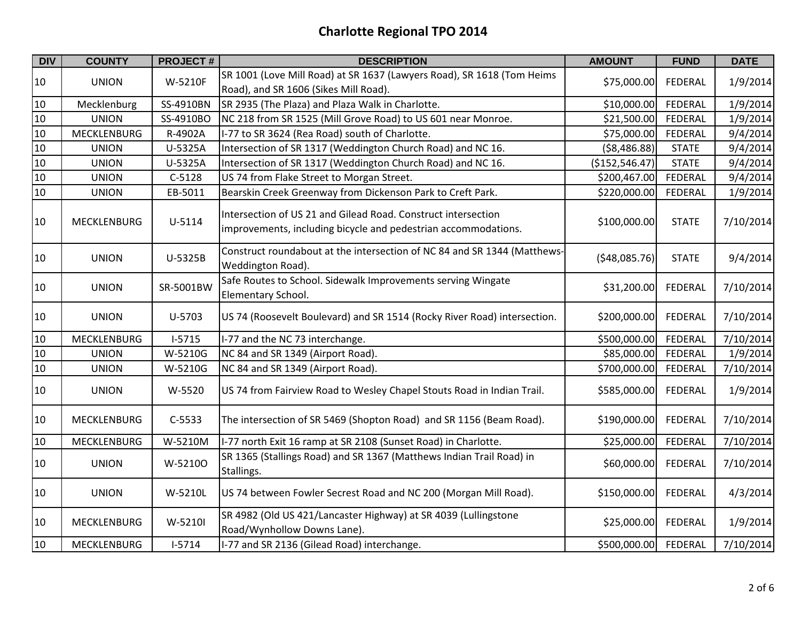| <b>DIV</b> | <b>COUNTY</b>      | <b>PROJECT#</b> | <b>DESCRIPTION</b>                                                                                                              | <b>AMOUNT</b>  | <b>FUND</b>    | <b>DATE</b> |
|------------|--------------------|-----------------|---------------------------------------------------------------------------------------------------------------------------------|----------------|----------------|-------------|
| 10         | <b>UNION</b>       | W-5210F         | SR 1001 (Love Mill Road) at SR 1637 (Lawyers Road), SR 1618 (Tom Heims<br>Road), and SR 1606 (Sikes Mill Road).                 | \$75,000.00    | <b>FEDERAL</b> | 1/9/2014    |
| 10         | Mecklenburg        | SS-4910BN       | SR 2935 (The Plaza) and Plaza Walk in Charlotte.                                                                                | \$10,000.00    | FEDERAL        | 1/9/2014    |
| 10         | <b>UNION</b>       | SS-4910BO       | NC 218 from SR 1525 (Mill Grove Road) to US 601 near Monroe.                                                                    | \$21,500.00    | <b>FEDERAL</b> | 1/9/2014    |
| 10         | <b>MECKLENBURG</b> | R-4902A         | I-77 to SR 3624 (Rea Road) south of Charlotte.                                                                                  | \$75,000.00    | FEDERAL        | 9/4/2014    |
| 10         | <b>UNION</b>       | U-5325A         | Intersection of SR 1317 (Weddington Church Road) and NC 16.                                                                     | ( \$8,486.88)  | <b>STATE</b>   | 9/4/2014    |
| 10         | <b>UNION</b>       | U-5325A         | Intersection of SR 1317 (Weddington Church Road) and NC 16.                                                                     | (\$152,546.47) | <b>STATE</b>   | 9/4/2014    |
| 10         | <b>UNION</b>       | $C-5128$        | US 74 from Flake Street to Morgan Street.                                                                                       | \$200,467.00   | FEDERAL        | 9/4/2014    |
| 10         | <b>UNION</b>       | EB-5011         | Bearskin Creek Greenway from Dickenson Park to Creft Park.                                                                      | \$220,000.00   | <b>FEDERAL</b> | 1/9/2014    |
| 10         | MECKLENBURG        | U-5114          | Intersection of US 21 and Gilead Road. Construct intersection<br>improvements, including bicycle and pedestrian accommodations. | \$100,000.00   | <b>STATE</b>   | 7/10/2014   |
| 10         | <b>UNION</b>       | U-5325B         | Construct roundabout at the intersection of NC 84 and SR 1344 (Matthews-<br>Weddington Road).                                   | (548,085.76)   | <b>STATE</b>   | 9/4/2014    |
| 10         | <b>UNION</b>       | SR-5001BW       | Safe Routes to School. Sidewalk Improvements serving Wingate<br>Elementary School.                                              | \$31,200.00    | FEDERAL        | 7/10/2014   |
| 10         | <b>UNION</b>       | U-5703          | US 74 (Roosevelt Boulevard) and SR 1514 (Rocky River Road) intersection.                                                        | \$200,000.00   | FEDERAL        | 7/10/2014   |
| 10         | <b>MECKLENBURG</b> | $I-5715$        | I-77 and the NC 73 interchange.                                                                                                 | \$500,000.00   | FEDERAL        | 7/10/2014   |
| 10         | <b>UNION</b>       | W-5210G         | NC 84 and SR 1349 (Airport Road).                                                                                               | \$85,000.00    | FEDERAL        | 1/9/2014    |
| 10         | <b>UNION</b>       | W-5210G         | NC 84 and SR 1349 (Airport Road).                                                                                               | \$700,000.00   | FEDERAL        | 7/10/2014   |
| 10         | <b>UNION</b>       | W-5520          | US 74 from Fairview Road to Wesley Chapel Stouts Road in Indian Trail.                                                          | \$585,000.00   | <b>FEDERAL</b> | 1/9/2014    |
| 10         | <b>MECKLENBURG</b> | C-5533          | The intersection of SR 5469 (Shopton Road) and SR 1156 (Beam Road).                                                             | \$190,000.00   | <b>FEDERAL</b> | 7/10/2014   |
| 10         | <b>MECKLENBURG</b> | W-5210M         | I-77 north Exit 16 ramp at SR 2108 (Sunset Road) in Charlotte.                                                                  | \$25,000.00    | FEDERAL        | 7/10/2014   |
| 10         | <b>UNION</b>       | W-52100         | SR 1365 (Stallings Road) and SR 1367 (Matthews Indian Trail Road) in<br>Stallings.                                              | \$60,000.00    | <b>FEDERAL</b> | 7/10/2014   |
| 10         | <b>UNION</b>       | W-5210L         | US 74 between Fowler Secrest Road and NC 200 (Morgan Mill Road).                                                                | \$150,000.00   | <b>FEDERAL</b> | 4/3/2014    |
| 10         | <b>MECKLENBURG</b> | W-5210I         | SR 4982 (Old US 421/Lancaster Highway) at SR 4039 (Lullingstone<br>Road/Wynhollow Downs Lane).                                  | \$25,000.00    | <b>FEDERAL</b> | 1/9/2014    |
| 10         | <b>MECKLENBURG</b> | $I-5714$        | I-77 and SR 2136 (Gilead Road) interchange.                                                                                     | \$500,000.00   | <b>FEDERAL</b> | 7/10/2014   |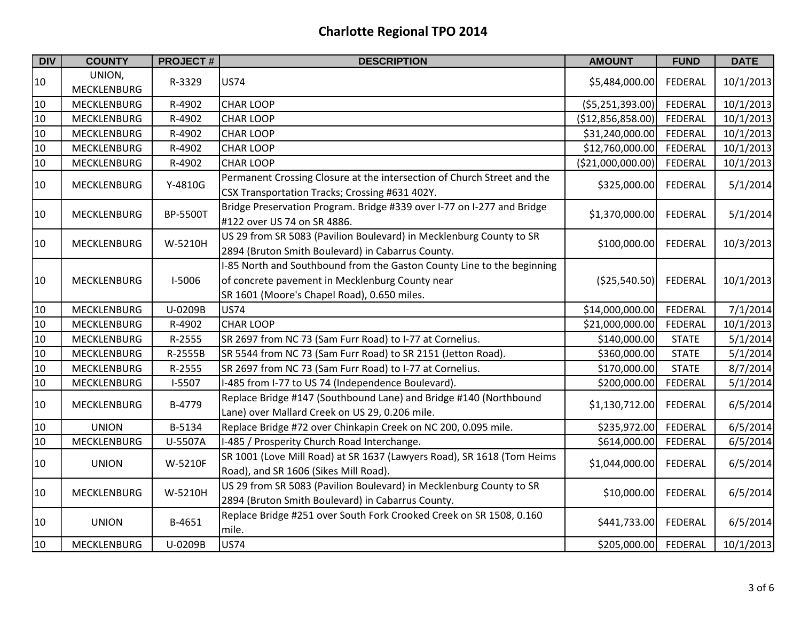| <b>DIV</b> | <b>COUNTY</b>                | <b>PROJECT#</b> | <b>DESCRIPTION</b>                                                                                                                                                       | <b>AMOUNT</b>     | <b>FUND</b>    | <b>DATE</b> |
|------------|------------------------------|-----------------|--------------------------------------------------------------------------------------------------------------------------------------------------------------------------|-------------------|----------------|-------------|
| 10         | UNION,<br><b>MECKLENBURG</b> | R-3329          | <b>US74</b>                                                                                                                                                              | \$5,484,000.00    | FEDERAL        | 10/1/2013   |
| 10         | <b>MECKLENBURG</b>           | R-4902          | <b>CHAR LOOP</b>                                                                                                                                                         | ( \$5,251,393.00) | FEDERAL        | 10/1/2013   |
| 10         | <b>MECKLENBURG</b>           | R-4902          | <b>CHAR LOOP</b>                                                                                                                                                         | (\$12,856,858.00) | FEDERAL        | 10/1/2013   |
| 10         | <b>MECKLENBURG</b>           | R-4902          | <b>CHAR LOOP</b>                                                                                                                                                         | \$31,240,000.00   | <b>FEDERAL</b> | 10/1/2013   |
| 10         | <b>MECKLENBURG</b>           | R-4902          | <b>CHAR LOOP</b>                                                                                                                                                         | \$12,760,000.00   | FEDERAL        | 10/1/2013   |
| 10         | MECKLENBURG                  | R-4902          | <b>CHAR LOOP</b>                                                                                                                                                         | (\$21,000,000.00) | FEDERAL        | 10/1/2013   |
| 10         | MECKLENBURG                  | Y-4810G         | Permanent Crossing Closure at the intersection of Church Street and the<br>CSX Transportation Tracks; Crossing #631 402Y.                                                | \$325,000.00      | FEDERAL        | 5/1/2014    |
| 10         | <b>MECKLENBURG</b>           | BP-5500T        | Bridge Preservation Program. Bridge #339 over I-77 on I-277 and Bridge<br>#122 over US 74 on SR 4886.                                                                    | \$1,370,000.00    | <b>FEDERAL</b> | 5/1/2014    |
| 10         | <b>MECKLENBURG</b>           | W-5210H         | US 29 from SR 5083 (Pavilion Boulevard) in Mecklenburg County to SR<br>2894 (Bruton Smith Boulevard) in Cabarrus County.                                                 | \$100,000.00      | <b>FEDERAL</b> | 10/3/2013   |
| 10         | <b>MECKLENBURG</b>           | <b>I-5006</b>   | I-85 North and Southbound from the Gaston County Line to the beginning<br>of concrete pavement in Mecklenburg County near<br>SR 1601 (Moore's Chapel Road), 0.650 miles. | (\$25,540.50)     | <b>FEDERAL</b> | 10/1/2013   |
| 10         | <b>MECKLENBURG</b>           | U-0209B         | <b>US74</b>                                                                                                                                                              | \$14,000,000.00   | FEDERAL        | 7/1/2014    |
| 10         | <b>MECKLENBURG</b>           | R-4902          | <b>CHAR LOOP</b>                                                                                                                                                         | \$21,000,000.00   | <b>FEDERAL</b> | 10/1/2013   |
| 10         | <b>MECKLENBURG</b>           | R-2555          | SR 2697 from NC 73 (Sam Furr Road) to I-77 at Cornelius.                                                                                                                 | \$140,000.00      | <b>STATE</b>   | 5/1/2014    |
| 10         | <b>MECKLENBURG</b>           | R-2555B         | SR 5544 from NC 73 (Sam Furr Road) to SR 2151 (Jetton Road).                                                                                                             | \$360,000.00      | <b>STATE</b>   | 5/1/2014    |
| 10         | MECKLENBURG                  | R-2555          | SR 2697 from NC 73 (Sam Furr Road) to I-77 at Cornelius.                                                                                                                 | \$170,000.00      | <b>STATE</b>   | 8/7/2014    |
| 10         | MECKLENBURG                  | $I-5507$        | I-485 from I-77 to US 74 (Independence Boulevard).                                                                                                                       | \$200,000.00      | <b>FEDERAL</b> | 5/1/2014    |
| 10         | MECKLENBURG                  | B-4779          | Replace Bridge #147 (Southbound Lane) and Bridge #140 (Northbound<br>Lane) over Mallard Creek on US 29, 0.206 mile.                                                      | \$1,130,712.00    | <b>FEDERAL</b> | 6/5/2014    |
| 10         | <b>UNION</b>                 | B-5134          | Replace Bridge #72 over Chinkapin Creek on NC 200, 0.095 mile.                                                                                                           | \$235,972.00      | <b>FEDERAL</b> | 6/5/2014    |
| 10         | <b>MECKLENBURG</b>           | U-5507A         | I-485 / Prosperity Church Road Interchange.                                                                                                                              | \$614,000.00      | FEDERAL        | 6/5/2014    |
| 10         | <b>UNION</b>                 | W-5210F         | SR 1001 (Love Mill Road) at SR 1637 (Lawyers Road), SR 1618 (Tom Heims<br>Road), and SR 1606 (Sikes Mill Road).                                                          | \$1,044,000.00    | <b>FEDERAL</b> | 6/5/2014    |
| 10         | <b>MECKLENBURG</b>           | W-5210H         | US 29 from SR 5083 (Pavilion Boulevard) in Mecklenburg County to SR<br>2894 (Bruton Smith Boulevard) in Cabarrus County.                                                 | \$10,000.00       | <b>FEDERAL</b> | 6/5/2014    |
| 10         | <b>UNION</b>                 | B-4651          | Replace Bridge #251 over South Fork Crooked Creek on SR 1508, 0.160<br>mile.                                                                                             | \$441,733.00      | <b>FEDERAL</b> | 6/5/2014    |
| 10         | <b>MECKLENBURG</b>           | U-0209B         | <b>US74</b>                                                                                                                                                              | \$205,000.00      | FEDERAL        | 10/1/2013   |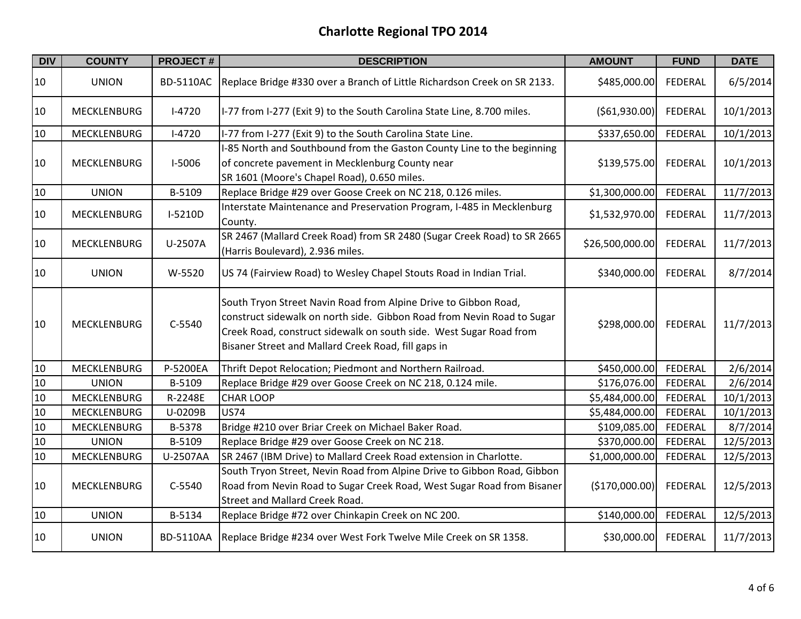| <b>DIV</b> | <b>COUNTY</b>      | <b>PROJECT#</b>  | <b>DESCRIPTION</b>                                                                                                                                                                                                                                                     | <b>AMOUNT</b>   | <b>FUND</b>    | <b>DATE</b> |
|------------|--------------------|------------------|------------------------------------------------------------------------------------------------------------------------------------------------------------------------------------------------------------------------------------------------------------------------|-----------------|----------------|-------------|
| 10         | <b>UNION</b>       | <b>BD-5110AC</b> | Replace Bridge #330 over a Branch of Little Richardson Creek on SR 2133.                                                                                                                                                                                               | \$485,000.00    | <b>FEDERAL</b> | 6/5/2014    |
| 10         | <b>MECKLENBURG</b> | $I-4720$         | I-77 from I-277 (Exit 9) to the South Carolina State Line, 8.700 miles.                                                                                                                                                                                                | ( \$61, 930.00) | <b>FEDERAL</b> | 10/1/2013   |
| 10         | <b>MECKLENBURG</b> | $I-4720$         | I-77 from I-277 (Exit 9) to the South Carolina State Line.                                                                                                                                                                                                             | \$337,650.00    | FEDERAL        | 10/1/2013   |
| 10         | <b>MECKLENBURG</b> | <b>I-5006</b>    | I-85 North and Southbound from the Gaston County Line to the beginning<br>of concrete pavement in Mecklenburg County near<br>SR 1601 (Moore's Chapel Road), 0.650 miles.                                                                                               | \$139,575.00    | <b>FEDERAL</b> | 10/1/2013   |
| 10         | <b>UNION</b>       | B-5109           | Replace Bridge #29 over Goose Creek on NC 218, 0.126 miles.                                                                                                                                                                                                            | \$1,300,000.00  | FEDERAL        | 11/7/2013   |
| 10         | <b>MECKLENBURG</b> | I-5210D          | Interstate Maintenance and Preservation Program, I-485 in Mecklenburg<br>County.                                                                                                                                                                                       | \$1,532,970.00  | FEDERAL        | 11/7/2013   |
| 10         | MECKLENBURG        | U-2507A          | SR 2467 (Mallard Creek Road) from SR 2480 (Sugar Creek Road) to SR 2665<br>(Harris Boulevard), 2.936 miles.                                                                                                                                                            | \$26,500,000.00 | <b>FEDERAL</b> | 11/7/2013   |
| 10         | <b>UNION</b>       | W-5520           | US 74 (Fairview Road) to Wesley Chapel Stouts Road in Indian Trial.                                                                                                                                                                                                    | \$340,000.00    | FEDERAL        | 8/7/2014    |
| 10         | <b>MECKLENBURG</b> | C-5540           | South Tryon Street Navin Road from Alpine Drive to Gibbon Road,<br>construct sidewalk on north side. Gibbon Road from Nevin Road to Sugar<br>Creek Road, construct sidewalk on south side. West Sugar Road from<br>Bisaner Street and Mallard Creek Road, fill gaps in | \$298,000.00    | FEDERAL        | 11/7/2013   |
| 10         | <b>MECKLENBURG</b> | P-5200EA         | Thrift Depot Relocation; Piedmont and Northern Railroad.                                                                                                                                                                                                               | \$450,000.00    | <b>FEDERAL</b> | 2/6/2014    |
| 10         | <b>UNION</b>       | B-5109           | Replace Bridge #29 over Goose Creek on NC 218, 0.124 mile.                                                                                                                                                                                                             | \$176,076.00    | FEDERAL        | 2/6/2014    |
| 10         | <b>MECKLENBURG</b> | R-2248E          | <b>CHAR LOOP</b>                                                                                                                                                                                                                                                       | \$5,484,000.00  | FEDERAL        | 10/1/2013   |
| 10         | <b>MECKLENBURG</b> | U-0209B          | <b>US74</b>                                                                                                                                                                                                                                                            | \$5,484,000.00  | FEDERAL        | 10/1/2013   |
| 10         | MECKLENBURG        | B-5378           | Bridge #210 over Briar Creek on Michael Baker Road.                                                                                                                                                                                                                    | \$109,085.00    | <b>FEDERAL</b> | 8/7/2014    |
| 10         | <b>UNION</b>       | B-5109           | Replace Bridge #29 over Goose Creek on NC 218.                                                                                                                                                                                                                         | \$370,000.00    | FEDERAL        | 12/5/2013   |
| 10         | <b>MECKLENBURG</b> | U-2507AA         | SR 2467 (IBM Drive) to Mallard Creek Road extension in Charlotte.                                                                                                                                                                                                      | \$1,000,000.00  | FEDERAL        | 12/5/2013   |
| 10         | <b>MECKLENBURG</b> | C-5540           | South Tryon Street, Nevin Road from Alpine Drive to Gibbon Road, Gibbon<br>Road from Nevin Road to Sugar Creek Road, West Sugar Road from Bisaner<br><b>Street and Mallard Creek Road.</b>                                                                             | (\$170,000.00]  | FEDERAL        | 12/5/2013   |
| 10         | <b>UNION</b>       | B-5134           | Replace Bridge #72 over Chinkapin Creek on NC 200.                                                                                                                                                                                                                     | \$140,000.00    | FEDERAL        | 12/5/2013   |
| 10         | <b>UNION</b>       | <b>BD-5110AA</b> | Replace Bridge #234 over West Fork Twelve Mile Creek on SR 1358.                                                                                                                                                                                                       | \$30,000.00     | FEDERAL        | 11/7/2013   |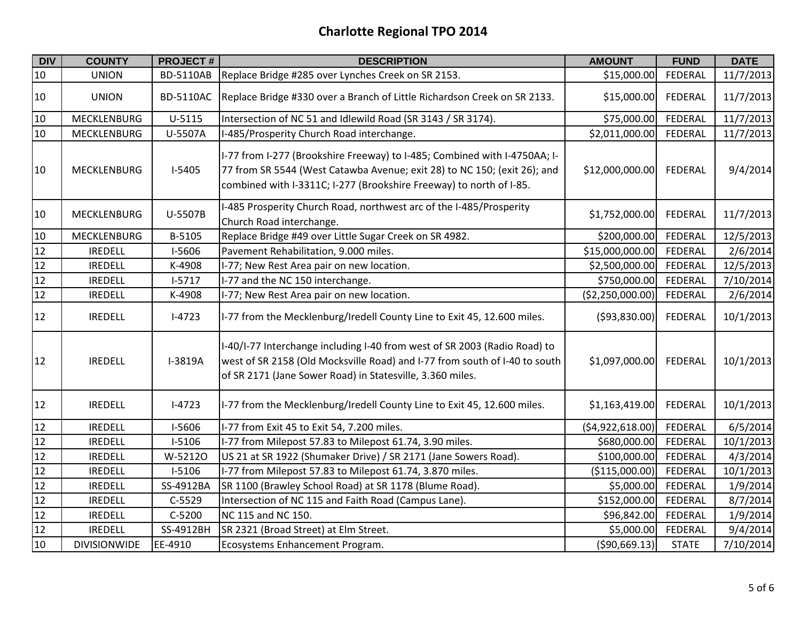| <b>DIV</b>      | <b>COUNTY</b>       | <b>PROJECT#</b>  | <b>DESCRIPTION</b>                                                                                                                                                                                                           | <b>AMOUNT</b>    | <b>FUND</b>    | <b>DATE</b> |
|-----------------|---------------------|------------------|------------------------------------------------------------------------------------------------------------------------------------------------------------------------------------------------------------------------------|------------------|----------------|-------------|
| $10\,$          | <b>UNION</b>        | <b>BD-5110AB</b> | Replace Bridge #285 over Lynches Creek on SR 2153.                                                                                                                                                                           | \$15,000.00      | FEDERAL        | 11/7/2013   |
| 10              | <b>UNION</b>        | <b>BD-5110AC</b> | Replace Bridge #330 over a Branch of Little Richardson Creek on SR 2133.                                                                                                                                                     | \$15,000.00      | <b>FEDERAL</b> | 11/7/2013   |
| 10              | <b>MECKLENBURG</b>  | U-5115           | Intersection of NC 51 and Idlewild Road (SR 3143 / SR 3174).                                                                                                                                                                 | \$75,000.00      | FEDERAL        | 11/7/2013   |
| 10              | <b>MECKLENBURG</b>  | U-5507A          | I-485/Prosperity Church Road interchange.                                                                                                                                                                                    | \$2,011,000.00   | FEDERAL        | 11/7/2013   |
| 10              | <b>MECKLENBURG</b>  | $I-5405$         | I-77 from I-277 (Brookshire Freeway) to I-485; Combined with I-4750AA; I-<br>77 from SR 5544 (West Catawba Avenue; exit 28) to NC 150; (exit 26); and<br>combined with I-3311C; I-277 (Brookshire Freeway) to north of I-85. | \$12,000,000.00  | <b>FEDERAL</b> | 9/4/2014    |
| 10              | MECKLENBURG         | U-5507B          | I-485 Prosperity Church Road, northwest arc of the I-485/Prosperity<br>Church Road interchange.                                                                                                                              | \$1,752,000.00   | <b>FEDERAL</b> | 11/7/2013   |
| 10              | MECKLENBURG         | B-5105           | Replace Bridge #49 over Little Sugar Creek on SR 4982.                                                                                                                                                                       | \$200,000.00     | FEDERAL        | 12/5/2013   |
| 12              | <b>IREDELL</b>      | I-5606           | Pavement Rehabilitation, 9.000 miles.                                                                                                                                                                                        | \$15,000,000.00  | <b>FEDERAL</b> | 2/6/2014    |
| 12              | <b>IREDELL</b>      | K-4908           | I-77; New Rest Area pair on new location.                                                                                                                                                                                    | \$2,500,000.00   | FEDERAL        | 12/5/2013   |
| $\frac{12}{12}$ | <b>IREDELL</b>      | $1 - 5717$       | I-77 and the NC 150 interchange.                                                                                                                                                                                             | \$750,000.00     | <b>FEDERAL</b> | 7/10/2014   |
|                 | <b>IREDELL</b>      | K-4908           | I-77; New Rest Area pair on new location.                                                                                                                                                                                    | (\$2,250,000.00] | <b>FEDERAL</b> | 2/6/2014    |
| 12              | <b>IREDELL</b>      | $I-4723$         | I-77 from the Mecklenburg/Iredell County Line to Exit 45, 12.600 miles.                                                                                                                                                      | ( \$93, 830.00)  | <b>FEDERAL</b> | 10/1/2013   |
| 12              | <b>IREDELL</b>      | I-3819A          | I-40/I-77 Interchange including I-40 from west of SR 2003 (Radio Road) to<br>west of SR 2158 (Old Mocksville Road) and I-77 from south of I-40 to south<br>of SR 2171 (Jane Sower Road) in Statesville, 3.360 miles.         | \$1,097,000.00   | <b>FEDERAL</b> | 10/1/2013   |
| 12              | <b>IREDELL</b>      | $I-4723$         | I-77 from the Mecklenburg/Iredell County Line to Exit 45, 12.600 miles.                                                                                                                                                      | \$1,163,419.00   | <b>FEDERAL</b> | 10/1/2013   |
| 12              | <b>IREDELL</b>      | I-5606           | I-77 from Exit 45 to Exit 54, 7.200 miles.                                                                                                                                                                                   | (\$4,922,618.00) | <b>FEDERAL</b> | 6/5/2014    |
| 12              | <b>IREDELL</b>      | $I-5106$         | I-77 from Milepost 57.83 to Milepost 61.74, 3.90 miles.                                                                                                                                                                      | \$680,000.00     | FEDERAL        | 10/1/2013   |
| 12              | <b>IREDELL</b>      | W-5212O          | US 21 at SR 1922 (Shumaker Drive) / SR 2171 (Jane Sowers Road).                                                                                                                                                              | \$100,000.00     | <b>FEDERAL</b> | 4/3/2014    |
| 12              | <b>IREDELL</b>      | $I-5106$         | I-77 from Milepost 57.83 to Milepost 61.74, 3.870 miles.                                                                                                                                                                     | (\$115,000.00)   | <b>FEDERAL</b> | 10/1/2013   |
| $\frac{12}{12}$ | <b>IREDELL</b>      | SS-4912BA        | SR 1100 (Brawley School Road) at SR 1178 (Blume Road).                                                                                                                                                                       | \$5,000.00       | <b>FEDERAL</b> | 1/9/2014    |
|                 | <b>IREDELL</b>      | $C-5529$         | Intersection of NC 115 and Faith Road (Campus Lane).                                                                                                                                                                         | \$152,000.00     | <b>FEDERAL</b> | 8/7/2014    |
| 12              | <b>IREDELL</b>      | C-5200           | NC 115 and NC 150.                                                                                                                                                                                                           | \$96,842.00      | <b>FEDERAL</b> | 1/9/2014    |
| 12              | <b>IREDELL</b>      | SS-4912BH        | SR 2321 (Broad Street) at Elm Street.                                                                                                                                                                                        | \$5,000.00       | FEDERAL        | 9/4/2014    |
| 10              | <b>DIVISIONWIDE</b> | EE-4910          | Ecosystems Enhancement Program.                                                                                                                                                                                              | ( \$90,669.13)   | <b>STATE</b>   | 7/10/2014   |